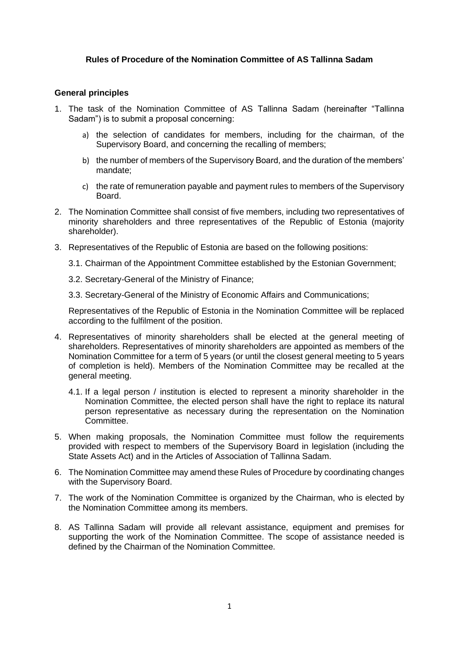## **Rules of Procedure of the Nomination Committee of AS Tallinna Sadam**

## **General principles**

- 1. The task of the Nomination Committee of AS Tallinna Sadam (hereinafter "Tallinna Sadam") is to submit a proposal concerning:
	- a) the selection of candidates for members, including for the chairman, of the Supervisory Board, and concerning the recalling of members;
	- b) the number of members of the Supervisory Board, and the duration of the members' mandate;
	- c) the rate of remuneration payable and payment rules to members of the Supervisory Board.
- 2. The Nomination Committee shall consist of five members, including two representatives of minority shareholders and three representatives of the Republic of Estonia (majority shareholder).
- 3. Representatives of the Republic of Estonia are based on the following positions:
	- 3.1. Chairman of the Appointment Committee established by the Estonian Government;
	- 3.2. Secretary-General of the Ministry of Finance;
	- 3.3. Secretary-General of the Ministry of Economic Affairs and Communications;

Representatives of the Republic of Estonia in the Nomination Committee will be replaced according to the fulfilment of the position.

- 4. Representatives of minority shareholders shall be elected at the general meeting of shareholders. Representatives of minority shareholders are appointed as members of the Nomination Committee for a term of 5 years (or until the closest general meeting to 5 years of completion is held). Members of the Nomination Committee may be recalled at the general meeting.
	- 4.1. If a legal person / institution is elected to represent a minority shareholder in the Nomination Committee, the elected person shall have the right to replace its natural person representative as necessary during the representation on the Nomination Committee.
- 5. When making proposals, the Nomination Committee must follow the requirements provided with respect to members of the Supervisory Board in legislation (including the State Assets Act) and in the Articles of Association of Tallinna Sadam.
- 6. The Nomination Committee may amend these Rules of Procedure by coordinating changes with the Supervisory Board.
- 7. The work of the Nomination Committee is organized by the Chairman, who is elected by the Nomination Committee among its members.
- 8. AS Tallinna Sadam will provide all relevant assistance, equipment and premises for supporting the work of the Nomination Committee. The scope of assistance needed is defined by the Chairman of the Nomination Committee.